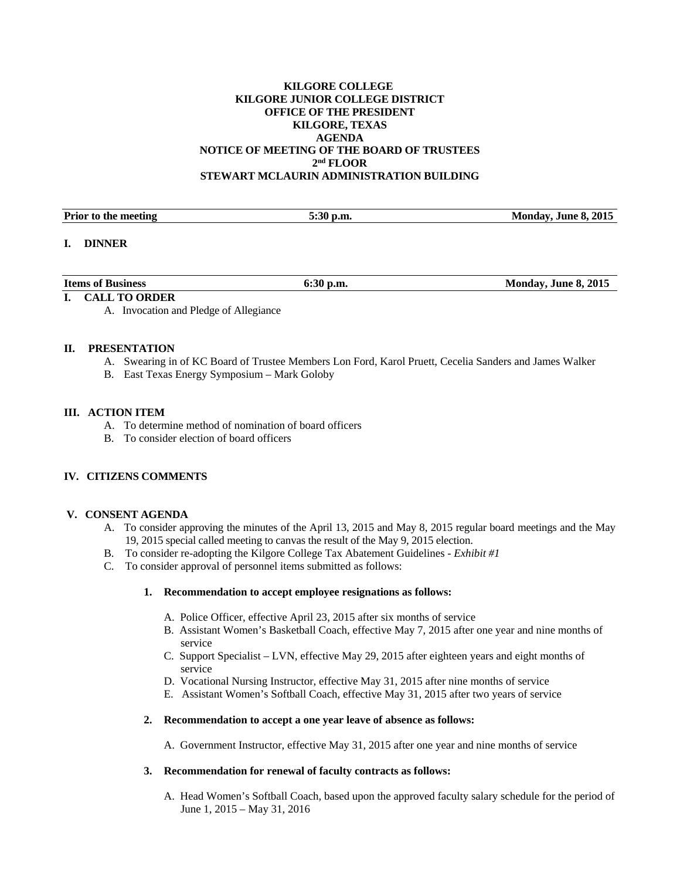## **KILGORE COLLEGE KILGORE JUNIOR COLLEGE DISTRICT OFFICE OF THE PRESIDENT KILGORE, TEXAS AGENDA NOTICE OF MEETING OF THE BOARD OF TRUSTEES 2nd FLOOR STEWART MCLAURIN ADMINISTRATION BUILDING**

| <b>Prior to the meeting</b>     | 5:30 p.m. | Monday, June 8, 2015 |
|---------------------------------|-----------|----------------------|
|                                 |           |                      |
| $\blacksquare$<br><b>DINNER</b> |           |                      |

| <b>Items of Business</b> | $ -$ | Monday, June 8, 2015 |
|--------------------------|------|----------------------|
|                          |      |                      |

# **I. CALL TO ORDER**

A. Invocation and Pledge of Allegiance

### **II. PRESENTATION**

- A. Swearing in of KC Board of Trustee Members Lon Ford, Karol Pruett, Cecelia Sanders and James Walker
- B. East Texas Energy Symposium Mark Goloby

### **III. ACTION ITEM**

- A. To determine method of nomination of board officers
- B. To consider election of board officers

# **IV. CITIZENS COMMENTS**

#### **V. CONSENT AGENDA**

- A. To consider approving the minutes of the April 13, 2015 and May 8, 2015 regular board meetings and the May 19, 2015 special called meeting to canvas the result of the May 9, 2015 election.
- B. To consider re-adopting the Kilgore College Tax Abatement Guidelines *Exhibit #1*
- C. To consider approval of personnel items submitted as follows:

### **1. Recommendation to accept employee resignations as follows:**

- A. Police Officer, effective April 23, 2015 after six months of service
- B. Assistant Women's Basketball Coach, effective May 7, 2015 after one year and nine months of service
- C. Support Specialist LVN, effective May 29, 2015 after eighteen years and eight months of service
- D. Vocational Nursing Instructor, effective May 31, 2015 after nine months of service
- E. Assistant Women's Softball Coach, effective May 31, 2015 after two years of service

#### **2. Recommendation to accept a one year leave of absence as follows:**

A. Government Instructor, effective May 31, 2015 after one year and nine months of service

### **3. Recommendation for renewal of faculty contracts as follows:**

A. Head Women's Softball Coach, based upon the approved faculty salary schedule for the period of June 1, 2015 – May 31, 2016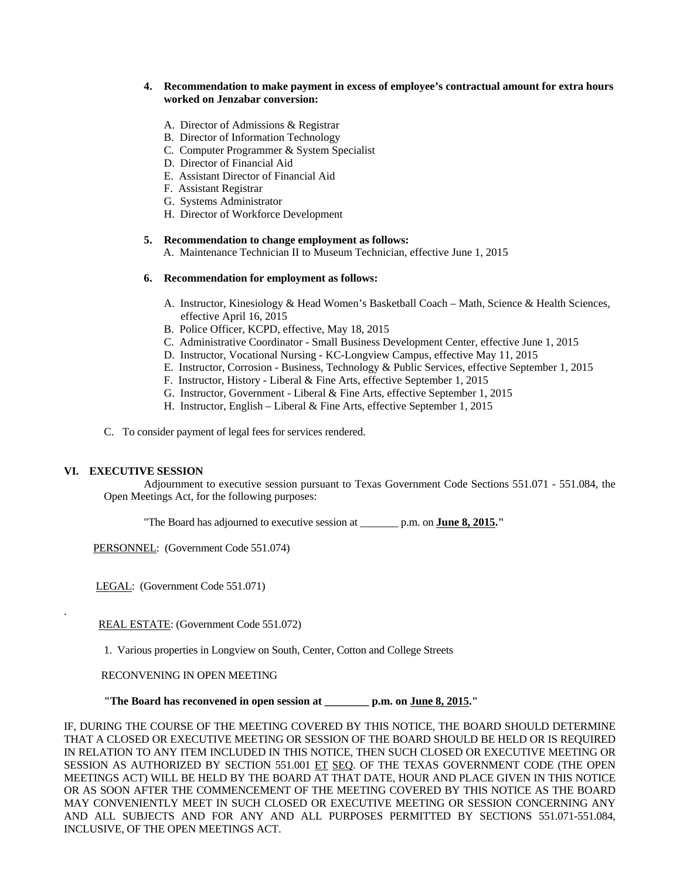# **4. Recommendation to make payment in excess of employee's contractual amount for extra hours worked on Jenzabar conversion:**

- A. Director of Admissions & Registrar
- B. Director of Information Technology
- C. Computer Programmer & System Specialist
- D. Director of Financial Aid
- E. Assistant Director of Financial Aid
- F. Assistant Registrar
- G. Systems Administrator
- H. Director of Workforce Development

#### **5. Recommendation to change employment as follows:**

A. Maintenance Technician II to Museum Technician, effective June 1, 2015

### **6. Recommendation for employment as follows:**

- A. Instructor, Kinesiology & Head Women's Basketball Coach Math, Science & Health Sciences, effective April 16, 2015
- B. Police Officer, KCPD, effective, May 18, 2015
- C. Administrative Coordinator Small Business Development Center, effective June 1, 2015
- D. Instructor, Vocational Nursing KC-Longview Campus, effective May 11, 2015
- E. Instructor, Corrosion Business, Technology & Public Services, effective September 1, 2015
- F. Instructor, History Liberal & Fine Arts, effective September 1, 2015
- G. Instructor, Government Liberal & Fine Arts, effective September 1, 2015
- H. Instructor, English Liberal & Fine Arts, effective September 1, 2015
- C. To consider payment of legal fees for services rendered.

# **VI. EXECUTIVE SESSION**

.

 Adjournment to executive session pursuant to Texas Government Code Sections 551.071 - 551.084, the Open Meetings Act, for the following purposes:

"The Board has adjourned to executive session at \_\_\_\_\_\_\_ p.m. on **June 8, 2015."** 

PERSONNEL: (Government Code 551.074)

LEGAL: (Government Code 551.071)

REAL ESTATE: (Government Code 551.072)

1. Various properties in Longview on South, Center, Cotton and College Streets

# RECONVENING IN OPEN MEETING

 **"The Board has reconvened in open session at \_\_\_\_\_\_\_\_ p.m. on June 8, 2015."** 

IF, DURING THE COURSE OF THE MEETING COVERED BY THIS NOTICE, THE BOARD SHOULD DETERMINE THAT A CLOSED OR EXECUTIVE MEETING OR SESSION OF THE BOARD SHOULD BE HELD OR IS REQUIRED IN RELATION TO ANY ITEM INCLUDED IN THIS NOTICE, THEN SUCH CLOSED OR EXECUTIVE MEETING OR SESSION AS AUTHORIZED BY SECTION 551.001 ET SEQ. OF THE TEXAS GOVERNMENT CODE (THE OPEN MEETINGS ACT) WILL BE HELD BY THE BOARD AT THAT DATE, HOUR AND PLACE GIVEN IN THIS NOTICE OR AS SOON AFTER THE COMMENCEMENT OF THE MEETING COVERED BY THIS NOTICE AS THE BOARD MAY CONVENIENTLY MEET IN SUCH CLOSED OR EXECUTIVE MEETING OR SESSION CONCERNING ANY AND ALL SUBJECTS AND FOR ANY AND ALL PURPOSES PERMITTED BY SECTIONS 551.071-551.084, INCLUSIVE, OF THE OPEN MEETINGS ACT.